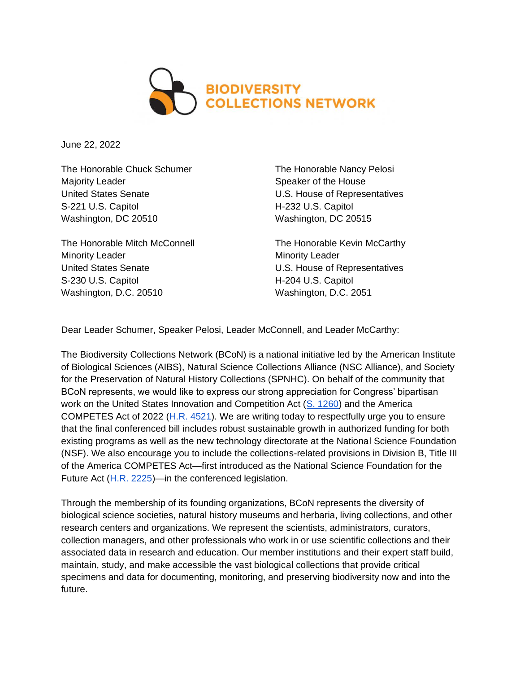

June 22, 2022

The Honorable Chuck Schumer Majority Leader United States Senate S-221 U.S. Capitol Washington, DC 20510

The Honorable Mitch McConnell Minority Leader United States Senate S-230 U.S. Capitol Washington, D.C. 20510

The Honorable Nancy Pelosi Speaker of the House U.S. House of Representatives H-232 U.S. Capitol Washington, DC 20515

The Honorable Kevin McCarthy Minority Leader U.S. House of Representatives H-204 U.S. Capitol Washington, D.C. 2051

Dear Leader Schumer, Speaker Pelosi, Leader McConnell, and Leader McCarthy:

The Biodiversity Collections Network (BCoN) is a national initiative led by the American Institute of Biological Sciences (AIBS), Natural Science Collections Alliance (NSC Alliance), and Society for the Preservation of Natural History Collections (SPNHC). On behalf of the community that BCoN represents, we would like to express our strong appreciation for Congress' bipartisan work on the United States Innovation and Competition Act [\(S. 1260\)](https://www.congress.gov/bill/117th-congress/senate-bill/1260/text) and the America COMPETES Act of 2022 [\(H.R. 4521\)](https://www.congress.gov/bill/117th-congress/house-bill/4521/text/eh). We are writing today to respectfully urge you to ensure that the final conferenced bill includes robust sustainable growth in authorized funding for both existing programs as well as the new technology directorate at the National Science Foundation (NSF). We also encourage you to include the collections-related provisions in Division B, Title III of the America COMPETES Act—first introduced as the National Science Foundation for the Future Act [\(H.R. 2225\)](https://www.congress.gov/bill/117th-congress/house-bill/2225/text)—in the conferenced legislation.

Through the membership of its founding organizations, BCoN represents the diversity of biological science societies, natural history museums and herbaria, living collections, and other research centers and organizations. We represent the scientists, administrators, curators, collection managers, and other professionals who work in or use scientific collections and their associated data in research and education. Our member institutions and their expert staff build, maintain, study, and make accessible the vast biological collections that provide critical specimens and data for documenting, monitoring, and preserving biodiversity now and into the future.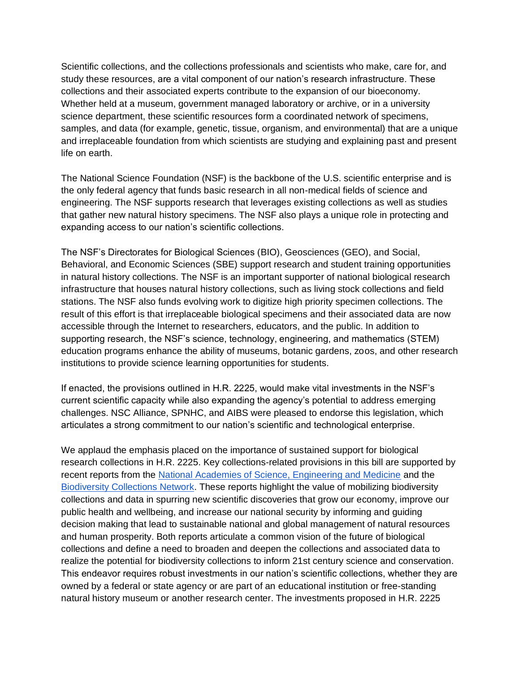Scientific collections, and the collections professionals and scientists who make, care for, and study these resources, are a vital component of our nation's research infrastructure. These collections and their associated experts contribute to the expansion of our bioeconomy. Whether held at a museum, government managed laboratory or archive, or in a university science department, these scientific resources form a coordinated network of specimens, samples, and data (for example, genetic, tissue, organism, and environmental) that are a unique and irreplaceable foundation from which scientists are studying and explaining past and present life on earth.

The National Science Foundation (NSF) is the backbone of the U.S. scientific enterprise and is the only federal agency that funds basic research in all non-medical fields of science and engineering. The NSF supports research that leverages existing collections as well as studies that gather new natural history specimens. The NSF also plays a unique role in protecting and expanding access to our nation's scientific collections.

The NSF's Directorates for Biological Sciences (BIO), Geosciences (GEO), and Social, Behavioral, and Economic Sciences (SBE) support research and student training opportunities in natural history collections. The NSF is an important supporter of national biological research infrastructure that houses natural history collections, such as living stock collections and field stations. The NSF also funds evolving work to digitize high priority specimen collections. The result of this effort is that irreplaceable biological specimens and their associated data are now accessible through the Internet to researchers, educators, and the public. In addition to supporting research, the NSF's science, technology, engineering, and mathematics (STEM) education programs enhance the ability of museums, botanic gardens, zoos, and other research institutions to provide science learning opportunities for students.

If enacted, the provisions outlined in H.R. 2225, would make vital investments in the NSF's current scientific capacity while also expanding the agency's potential to address emerging challenges. NSC Alliance, SPNHC, and AIBS were pleased to endorse this legislation, which articulates a strong commitment to our nation's scientific and technological enterprise.

We applaud the emphasis placed on the importance of sustained support for biological research collections in H.R. 2225. Key collections-related provisions in this bill are supported by recent reports from the [National Academies of Science, Engineering and Medicine](https://www.nap.edu/catalog/25592/biological-collections-ensuring-critical-research-andeducation-for-the-21st) and the [Biodiversity Collections Network.](https://academic.oup.com/bioscience/article/70/1/23/5637849) These reports highlight the value of mobilizing biodiversity collections and data in spurring new scientific discoveries that grow our economy, improve our public health and wellbeing, and increase our national security by informing and guiding decision making that lead to sustainable national and global management of natural resources and human prosperity. Both reports articulate a common vision of the future of biological collections and define a need to broaden and deepen the collections and associated data to realize the potential for biodiversity collections to inform 21st century science and conservation. This endeavor requires robust investments in our nation's scientific collections, whether they are owned by a federal or state agency or are part of an educational institution or free-standing natural history museum or another research center. The investments proposed in H.R. 2225